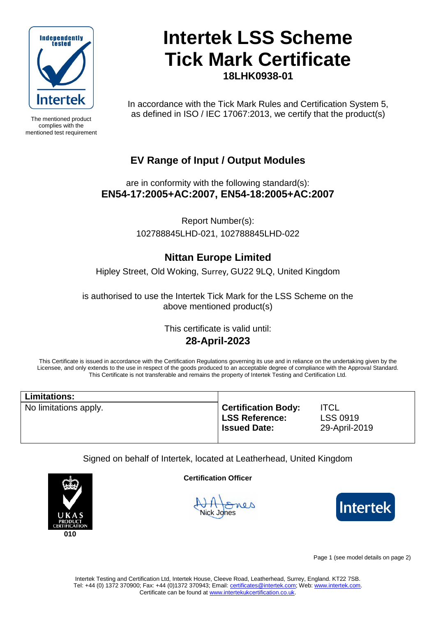

The mentioned product complies with the mentioned test requirement

## **Intertek LSS Scheme Tick Mark Certificate 18LHK0938-01**

In accordance with the Tick Mark Rules and Certification System 5, as defined in ISO / IEC 17067:2013, we certify that the product(s)

### **EV Range of Input / Output Modules**

are in conformity with the following standard(s): **EN54-17:2005+AC:2007, EN54-18:2005+AC:2007**

> Report Number(s): 102788845LHD-021, 102788845LHD-022

### **Nittan Europe Limited**

Hipley Street, Old Woking, Surrey, GU22 9LQ, United Kingdom

is authorised to use the Intertek Tick Mark for the LSS Scheme on the above mentioned product(s)

> This certificate is valid until: **28-April-2023**

This Certificate is issued in accordance with the Certification Regulations governing its use and in reliance on the undertaking given by the Licensee, and only extends to the use in respect of the goods produced to an acceptable degree of compliance with the Approval Standard. This Certificate is not transferable and remains the property of Intertek Testing and Certification Ltd.

| <b>Limitations:</b>   |                                                                            |                                                 |
|-----------------------|----------------------------------------------------------------------------|-------------------------------------------------|
| No limitations apply. | <b>Certification Body:</b><br><b>LSS Reference:</b><br><b>Issued Date:</b> | <b>ITCL</b><br><b>LSS 0919</b><br>29-April-2019 |

Signed on behalf of Intertek, located at Leatherhead, United Kingdom



**Certification Officer**

Nick Jones



Page 1 (see model details on page 2)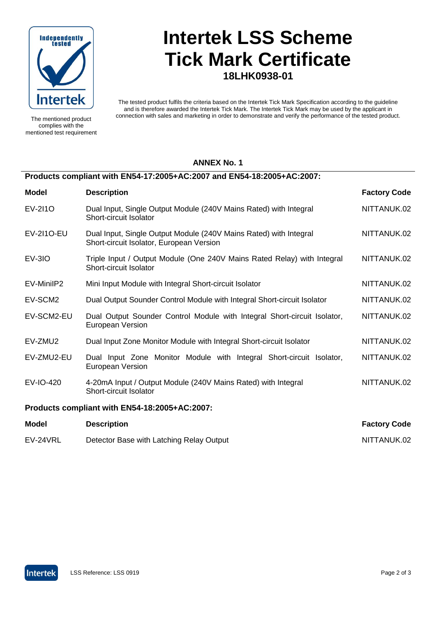

The mentioned product complies with the mentioned test requirement

# **Intertek LSS Scheme Tick Mark Certificate 18LHK0938-01**

The tested product fulfils the criteria based on the Intertek Tick Mark Specification according to the guideline and is therefore awarded the Intertek Tick Mark. The Intertek Tick Mark may be used by the applicant in connection with sales and marketing in order to demonstrate and verify the performance of the tested product.

#### **ANNEX No. 1**

### **Products compliant with EN54-17:2005+AC:2007 and EN54-18:2005+AC:2007:**

| <b>Model</b>                                  | <b>Description</b>                                                                                            | <b>Factory Code</b> |  |
|-----------------------------------------------|---------------------------------------------------------------------------------------------------------------|---------------------|--|
| EV-2110                                       | Dual Input, Single Output Module (240V Mains Rated) with Integral<br>Short-circuit Isolator                   | NITTANUK.02         |  |
| EV-2110-EU                                    | Dual Input, Single Output Module (240V Mains Rated) with Integral<br>Short-circuit Isolator, European Version | NITTANUK 02         |  |
| $EV-3IO$                                      | Triple Input / Output Module (One 240V Mains Rated Relay) with Integral<br>Short-circuit Isolator             | NITTANUK.02         |  |
| EV-MinilP2                                    | Mini Input Module with Integral Short-circuit Isolator                                                        | NITTANUK.02         |  |
| EV-SCM2                                       | Dual Output Sounder Control Module with Integral Short-circuit Isolator                                       | NITTANUK.02         |  |
| EV-SCM2-EU                                    | Dual Output Sounder Control Module with Integral Short-circuit Isolator,<br>European Version                  | NITTANUK.02         |  |
| EV-ZMU2                                       | Dual Input Zone Monitor Module with Integral Short-circuit Isolator                                           | NITTANUK.02         |  |
| EV-ZMU2-EU                                    | Dual Input Zone Monitor Module with Integral Short-circuit Isolator,<br>European Version                      | NITTANUK.02         |  |
| EV-IO-420                                     | 4-20mA Input / Output Module (240V Mains Rated) with Integral<br>Short-circuit Isolator                       | NITTANUK.02         |  |
| Products compliant with EN54-18:2005+AC:2007: |                                                                                                               |                     |  |

| <b>Model</b> | <b>Description</b>                       | <b>Factory Code</b> |
|--------------|------------------------------------------|---------------------|
| EV-24VRL     | Detector Base with Latching Relay Output | NITTANUK.02         |